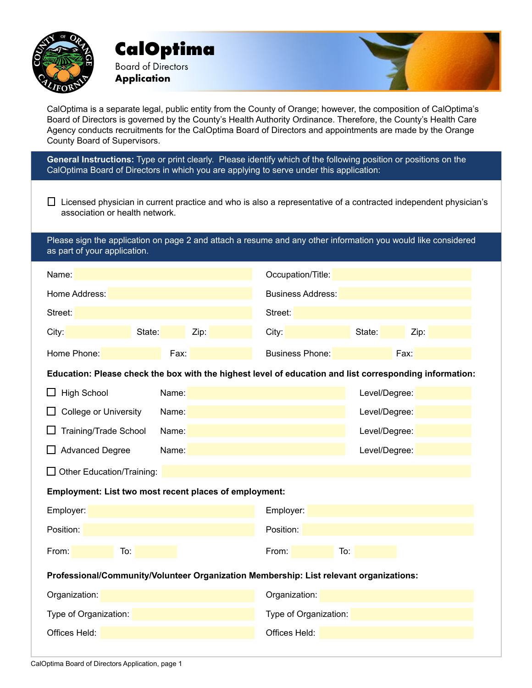

**CalOptima** Board of Directors **Application**

CalOptima is a separate legal, public entity from the County of Orange; however, the composition of CalOptima's Board of Directors is governed by the County's Health Authority Ordinance. Therefore, the County's Health Care Agency conducts recruitments for the CalOptima Board of Directors and appointments are made by the Orange County Board of Supervisors.

**General Instructions:** Type or print clearly. Please identify which of the following position or positions on the CalOptima Board of Directors in which you are applying to serve under this application:

 $\Box$  Licensed physician in current practice and who is also a representative of a contracted independent physician's association or health network.

Please sign the application on page 2 and attach a resume and any other information you would like considered as part of your application.

| Name:                                                                                                   |        |               | Occupation/Title:        |               |      |
|---------------------------------------------------------------------------------------------------------|--------|---------------|--------------------------|---------------|------|
| Home Address:                                                                                           |        |               | <b>Business Address:</b> |               |      |
| Street:                                                                                                 |        |               | Street:                  |               |      |
| City:                                                                                                   | State: | Zip:          | City:                    | State:        | Zip: |
| Home Phone:                                                                                             | Fax:   |               | <b>Business Phone:</b>   |               | Fax: |
| Education: Please check the box with the highest level of education and list corresponding information: |        |               |                          |               |      |
| <b>High School</b>                                                                                      | Name:  |               | Level/Degree:            |               |      |
| <b>College or University</b>                                                                            | Name:  |               | Level/Degree:            |               |      |
| <b>Training/Trade School</b>                                                                            | Name:  |               |                          | Level/Degree: |      |
| <b>Advanced Degree</b>                                                                                  | Name:  |               | Level/Degree:            |               |      |
| Other Education/Training:                                                                               |        |               |                          |               |      |
| Employment: List two most recent places of employment:                                                  |        |               |                          |               |      |
| Employer:                                                                                               |        |               | Employer:                |               |      |
| Position:                                                                                               |        | Position:     |                          |               |      |
| From:<br>To:                                                                                            |        |               | From:<br>To:             |               |      |
| Professional/Community/Volunteer Organization Membership: List relevant organizations:                  |        |               |                          |               |      |
| Organization:                                                                                           |        |               | Organization:            |               |      |
| Type of Organization:                                                                                   |        |               | Type of Organization:    |               |      |
| Offices Held:                                                                                           |        | Offices Held: |                          |               |      |